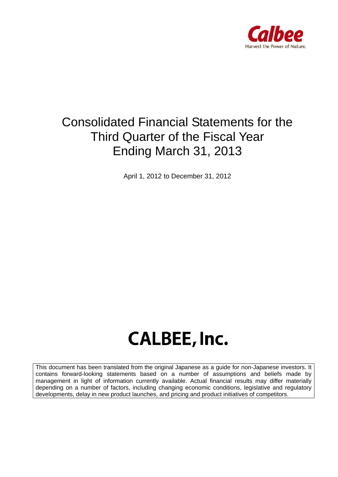

## Consolidated Financial Statements for the Third Quarter of the Fiscal Year Ending March 31, 2013

April 1, 2012 to December 31, 2012

# **CALBEE, Inc.**

This document has been translated from the original Japanese as a guide for non-Japanese investors. It contains forward-looking statements based on a number of assumptions and beliefs made by management in light of information currently available. Actual financial results may differ materially depending on a number of factors, including changing economic conditions, legislative and regulatory developments, delay in new product launches, and pricing and product initiatives of competitors.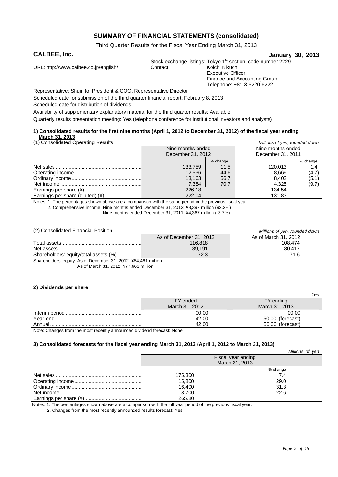#### **SUMMARY OF FINANCIAL STATEMENTS (consolidated)**

Third Quarter Results for the Fiscal Year Ending March 31, 2013

#### **CALBEE, Inc. January 30, 2013**

URL: http://www.calbee.co.jp/english/ Contact:

Stock exchange listings: Tokyo 1<sup>st</sup> section, code number 2229<br>Contact: Koichi Kikuchi Executive Officer

Finance and Accounting Group Telephone: +81-3-5220-6222

Representative: Shuji Ito, President & COO, Representative Director Scheduled date for submission of the third quarter financial report: February 8, 2013

Scheduled date for distribution of dividends: --

Availability of supplementary explanatory material for the third quarter results: Available

Quarterly results presentation meeting: Yes (telephone conference for institutional investors and analysts)

#### **1) Consolidated results for the first nine months (April 1, 2012 to December 31, 2012) of the fiscal year ending March 31, 2013**

| (1) Consolidated Operating Results |                   |          | Millions of yen, rounded down |          |
|------------------------------------|-------------------|----------|-------------------------------|----------|
|                                    | Nine months ended |          | Nine months ended             |          |
|                                    | December 31, 2012 |          | December 31, 2011             |          |
|                                    |                   | % change |                               | % change |
|                                    | 133,759           | 11.5     | 120.013                       | 1.4      |
|                                    | 12.536            | 44.6     | 8.669                         | (4.7)    |
|                                    | 13.163            | 56.7     | 8.402                         | (5.1)    |
|                                    | 7.384             | 70.7     | 4.325                         | (9.7)    |
|                                    | 226.18            |          | 134.54                        |          |
| Earnings per share (diluted) (¥)   | 222.04            |          | 131.83                        |          |

Notes: 1. The percentages shown above are a comparison with the same period in the previous fiscal year.

2. Comprehensive income: Nine months ended December 31, 2012: ¥8,397 million (92.2%)

Nine months ended December 31, 2011: ¥4,367 million (-3.7%)

| (2) Consolidated Financial Position   |                         | Millions of yen, rounded down |
|---------------------------------------|-------------------------|-------------------------------|
|                                       | As of December 31, 2012 | As of March 31, 2012          |
|                                       | 116.818                 | 108.474                       |
|                                       | 89.191                  | 80.417                        |
| Shareholders' equity/total assets (%) | 72.3                    | 71.6                          |
|                                       |                         |                               |

Shareholders' equity: As of December 31, 2012: ¥84,461 million As of March 31, 2012: ¥77,663 million

#### **2) Dividends per share**

|                                                                                                                                                                                                                                                                                                  |                | Yen              |
|--------------------------------------------------------------------------------------------------------------------------------------------------------------------------------------------------------------------------------------------------------------------------------------------------|----------------|------------------|
|                                                                                                                                                                                                                                                                                                  | FY ended       | FY ending        |
|                                                                                                                                                                                                                                                                                                  | March 31, 2012 | March 31, 2013   |
|                                                                                                                                                                                                                                                                                                  | 00.00          | 00.00            |
|                                                                                                                                                                                                                                                                                                  | 42.00          | 50.00 (forecast) |
|                                                                                                                                                                                                                                                                                                  | 42.00          | 50.00 (forecast) |
| $\mathbf{a}$ and $\mathbf{b}$ and $\mathbf{c}$ and $\mathbf{c}$ and $\mathbf{c}$ and $\mathbf{c}$ and $\mathbf{c}$ and $\mathbf{c}$ and $\mathbf{c}$ and $\mathbf{c}$ and $\mathbf{c}$ and $\mathbf{c}$ and $\mathbf{c}$ and $\mathbf{c}$ and $\mathbf{c}$ and $\mathbf{c}$ and $\mathbf{c}$ and |                |                  |

Note: Changes from the most recently announced dividend forecast: None

#### **3) Consolidated forecasts for the fiscal year ending March 31, 2013 (April 1, 2012 to March 31, 2013)**

|         | Millions of yen    |
|---------|--------------------|
|         | Fiscal year ending |
|         | March 31, 2013     |
|         | % change           |
| 175,300 | 7.4                |
| 15,800  | 29.0               |
| 16,400  | 31.3               |
| 8.700   | 22.6               |
| 265.80  |                    |

Notes: 1. The percentages shown above are a comparison with the full year period of the previous fiscal year.

2. Changes from the most recently announced results forecast: Yes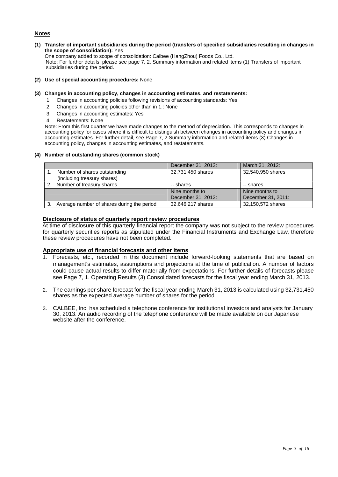#### **Notes**

**(1) Transfer of important subsidiaries during the period (transfers of specified subsidiaries resulting in changes in the scope of consolidation):** Yes

One company added to scope of consolidation: Calbee (HangZhou) Foods Co., Ltd. Note: For further details, please see page 7, 2. Summary information and related items (1) Transfers of important subsidiaries during the period.

- **(2) Use of special accounting procedures:** None
- **(3) Changes in accounting policy, changes in accounting estimates, and restatements:** 
	- 1. Changes in accounting policies following revisions of accounting standards: Yes
	- 2. Changes in accounting policies other than in 1.: None
	- 3. Changes in accounting estimates: Yes
	- 4. Restatements: None

Note: From this first quarter we have made changes to the method of depreciation. This corresponds to changes in accounting policy for cases where it is difficult to distinguish between changes in accounting policy and changes in accounting estimates. For further detail, see Page 7, 2.Summary information and related items (3) Changes in accounting policy, changes in accounting estimates, and restatements.

#### **(4) Number of outstanding shares (common stock)**

|    |                                            | December 31, 2012: | March 31, 2012:    |
|----|--------------------------------------------|--------------------|--------------------|
|    | Number of shares outstanding               | 32,731,450 shares  | 32,540,950 shares  |
|    | (including treasury shares)                |                    |                    |
| 2. | Number of treasury shares                  | -- shares          | -- shares          |
|    |                                            | Nine months to     | Nine months to     |
|    |                                            | December 31, 2012: | December 31, 2011: |
| 3. | Average number of shares during the period | 32,646,217 shares  | 32,150,572 shares  |

#### **Disclosure of status of quarterly report review procedures**

At time of disclosure of this quarterly financial report the company was not subject to the review procedures for quarterly securities reports as stipulated under the Financial Instruments and Exchange Law, therefore these review procedures have not been completed.

#### **Appropriate use of financial forecasts and other items**

- 1. Forecasts, etc., recorded in this document include forward-looking statements that are based on management's estimates, assumptions and projections at the time of publication. A number of factors could cause actual results to differ materially from expectations. For further details of forecasts please see Page 7, 1. Operating Results (3) Consolidated forecasts for the fiscal year ending March 31, 2013.
- 2. The earnings per share forecast for the fiscal year ending March 31, 2013 is calculated using 32,731,450 shares as the expected average number of shares for the period.
- 3. CALBEE, Inc. has scheduled a telephone conference for institutional investors and analysts for January 30, 2013. An audio recording of the telephone conference will be made available on our Japanese website after the conference.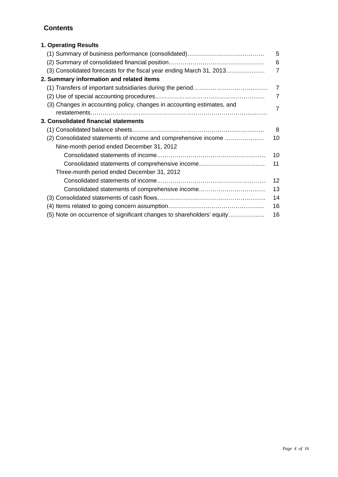#### **Contents**

| 1. Operating Results                                                   |                   |
|------------------------------------------------------------------------|-------------------|
|                                                                        | 5                 |
|                                                                        | 6                 |
| (3) Consolidated forecasts for the fiscal year ending March 31, 2013   | $\overline{7}$    |
| 2. Summary information and related items                               |                   |
|                                                                        | 7                 |
|                                                                        | $\overline{7}$    |
| (3) Changes in accounting policy, changes in accounting estimates, and | $\overline{7}$    |
|                                                                        |                   |
| 3. Consolidated financial statements                                   |                   |
|                                                                        | 8                 |
| (2) Consolidated statements of income and comprehensive income         | 10                |
| Nine-month period ended December 31, 2012                              |                   |
|                                                                        | 10                |
| Consolidated statements of comprehensive income                        | 11                |
| Three-month period ended December 31, 2012                             |                   |
|                                                                        | $12 \overline{ }$ |
| Consolidated statements of comprehensive income                        | 13                |
|                                                                        | 14                |
|                                                                        | 16                |
| (5) Note on occurrence of significant changes to shareholders' equity  | 16                |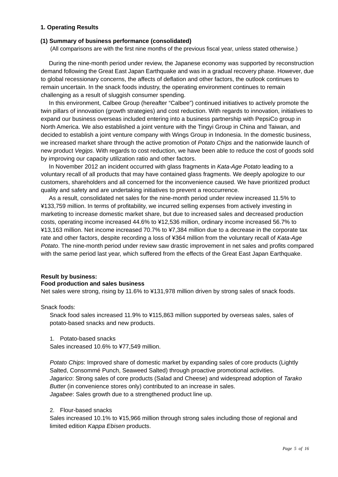#### **1. Operating Results**

#### **(1) Summary of business performance (consolidated)**

(All comparisons are with the first nine months of the previous fiscal year, unless stated otherwise.)

During the nine-month period under review, the Japanese economy was supported by reconstruction demand following the Great East Japan Earthquake and was in a gradual recovery phase. However, due to global recessionary concerns, the affects of deflation and other factors, the outlook continues to remain uncertain. In the snack foods industry, the operating environment continues to remain challenging as a result of sluggish consumer spending.

In this environment, Calbee Group (hereafter "Calbee") continued initiatives to actively promote the twin pillars of innovation (growth strategies) and cost reduction. With regards to innovation, initiatives to expand our business overseas included entering into a business partnership with PepsiCo group in North America. We also established a joint venture with the Tingyi Group in China and Taiwan, and decided to establish a joint venture company with Wings Group in Indonesia. In the domestic business, we increased market share through the active promotion of *Potato Chips* and the nationwide launch of new product *Vegips*. With regards to cost reduction, we have been able to reduce the cost of goods sold by improving our capacity utilization ratio and other factors.

In November 2012 an incident occurred with glass fragments in *Kata-Age Potato* leading to a voluntary recall of all products that may have contained glass fragments. We deeply apologize to our customers, shareholders and all concerned for the inconvenience caused. We have prioritized product quality and safety and are undertaking initiatives to prevent a reoccurrence.

As a result, consolidated net sales for the nine-month period under review increased 11.5% to ¥133,759 million. In terms of profitability, we incurred selling expenses from actively investing in marketing to increase domestic market share, but due to increased sales and decreased production costs, operating income increased 44.6% to ¥12,536 million, ordinary income increased 56.7% to ¥13,163 million. Net income increased 70.7% to ¥7,384 million due to a decrease in the corporate tax rate and other factors, despite recording a loss of ¥364 million from the voluntary recall of *Kata-Age Potato*. The nine-month period under review saw drastic improvement in net sales and profits compared with the same period last year, which suffered from the effects of the Great East Japan Earthquake.

#### **Result by business:**

#### **Food production and sales business**

Net sales were strong, rising by 11.6% to ¥131,978 million driven by strong sales of snack foods.

#### Snack foods:

Snack food sales increased 11.9% to ¥115,863 million supported by overseas sales, sales of potato-based snacks and new products.

1. Potato-based snacks

Sales increased 10.6% to ¥77,549 million.

*Potato Chips*: Improved share of domestic market by expanding sales of core products (Lightly Salted, Consommé Punch, Seaweed Salted) through proactive promotional activities. *Jagarico*: Strong sales of core products (Salad and Cheese) and widespread adoption of *Tarako Butter* (in convenience stores only) contributed to an increase in sales. *Jagabee*: Sales growth due to a strengthened product line up.

#### 2. Flour-based snacks

Sales increased 10.1% to ¥15,966 million through strong sales including those of regional and limited edition *Kappa Ebisen* products.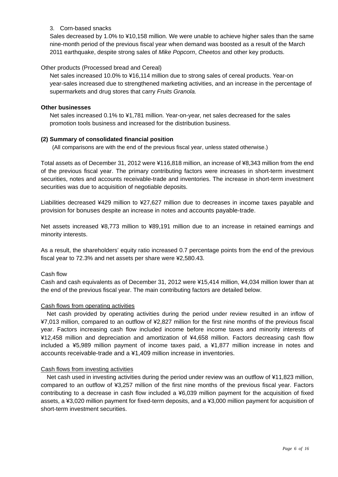#### 3. Corn-based snacks

Sales decreased by 1.0% to ¥10,158 million. We were unable to achieve higher sales than the same nine-month period of the previous fiscal year when demand was boosted as a result of the March 2011 earthquake, despite strong sales of *Mike Popcorn*, *Cheetos* and other key products.

#### Other products (Processed bread and Cereal)

Net sales increased 10.0% to ¥16,114 million due to strong sales of cereal products. Year-on year-sales increased due to strengthened marketing activities, and an increase in the percentage of supermarkets and drug stores that carry *Fruits Granola.* 

#### **Other businesses**

Net sales increased 0.1% to ¥1,781 million. Year-on-year, net sales decreased for the sales promotion tools business and increased for the distribution business.

#### **(2) Summary of consolidated financial position**

(All comparisons are with the end of the previous fiscal year, unless stated otherwise.)

Total assets as of December 31, 2012 were ¥116,818 million, an increase of ¥8,343 million from the end of the previous fiscal year. The primary contributing factors were increases in short-term investment securities, notes and accounts receivable-trade and inventories. The increase in short-term investment securities was due to acquisition of negotiable deposits.

Liabilities decreased ¥429 million to ¥27,627 million due to decreases in income taxes payable and provision for bonuses despite an increase in notes and accounts payable-trade.

Net assets increased ¥8,773 million to ¥89,191 million due to an increase in retained earnings and minority interests.

As a result, the shareholders' equity ratio increased 0.7 percentage points from the end of the previous fiscal year to 72.3% and net assets per share were ¥2,580.43.

#### Cash flow

Cash and cash equivalents as of December 31, 2012 were ¥15,414 million, ¥4,034 million lower than at the end of the previous fiscal year. The main contributing factors are detailed below.

#### Cash flows from operating activities

Net cash provided by operating activities during the period under review resulted in an inflow of ¥7,013 million, compared to an outflow of ¥2,827 million for the first nine months of the previous fiscal year. Factors increasing cash flow included income before income taxes and minority interests of ¥12,458 million and depreciation and amortization of ¥4,658 million. Factors decreasing cash flow included a ¥5,989 million payment of income taxes paid, a ¥1,877 million increase in notes and accounts receivable-trade and a ¥1,409 million increase in inventories.

#### Cash flows from investing activities

Net cash used in investing activities during the period under review was an outflow of ¥11,823 million, compared to an outflow of ¥3,257 million of the first nine months of the previous fiscal year. Factors contributing to a decrease in cash flow included a ¥6,039 million payment for the acquisition of fixed assets, a ¥3,020 million payment for fixed-term deposits, and a ¥3,000 million payment for acquisition of short-term investment securities.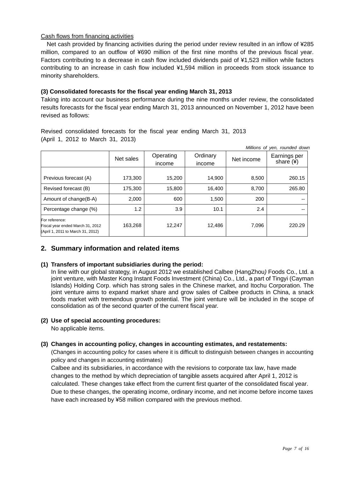#### Cash flows from financing activities

Net cash provided by financing activities during the period under review resulted in an inflow of ¥285 million, compared to an outflow of ¥690 million of the first nine months of the previous fiscal year. Factors contributing to a decrease in cash flow included dividends paid of ¥1,523 million while factors contributing to an increase in cash flow included ¥1,594 million in proceeds from stock issuance to minority shareholders.

#### **(3) Consolidated forecasts for the fiscal year ending March 31, 2013**

Taking into account our business performance during the nine months under review, the consolidated results forecasts for the fiscal year ending March 31, 2013 announced on November 1, 2012 have been revised as follows:

Revised consolidated forecasts for the fiscal year ending March 31, 2013 (April 1, 2012 to March 31, 2013)

| Millions of yen, rounded down                                                           |           |           |          |            |                       |
|-----------------------------------------------------------------------------------------|-----------|-----------|----------|------------|-----------------------|
|                                                                                         | Net sales | Operating | Ordinary | Net income | Earnings per          |
|                                                                                         |           | income    | income   |            | share $(\frac{3}{2})$ |
| Previous forecast (A)                                                                   | 173,300   | 15,200    | 14,900   | 8,500      | 260.15                |
| Revised forecast (B)                                                                    | 175,300   | 15,800    | 16,400   | 8,700      | 265.80                |
| Amount of change(B-A)                                                                   | 2,000     | 600       | 1,500    | 200        |                       |
| Percentage change (%)                                                                   | 1.2       | 3.9       | 10.1     | 2.4        | $-$                   |
| For reference:<br>Fiscal year ended March 31, 2012<br>(April 1, 2011 to March 31, 2012) | 163,268   | 12,247    | 12,486   | 7,096      | 220.29                |

#### **2. Summary information and related items**

#### **(1) Transfers of important subsidiaries during the period:**

In line with our global strategy, in August 2012 we established Calbee (H*a*ngZhou*)* Foods Co., Ltd. a joint venture, with Master Kong Instant Foods Investment (China) Co., Ltd., a part of Tingyi (Cayman Islands) Holding Corp. which has strong sales in the Chinese market, and Itochu Corporation. The joint venture aims to expand market share and grow sales of Calbee products in China, a snack foods market with tremendous growth potential. The joint venture will be included in the scope of consolidation as of the second quarter of the current fiscal year.

#### **(2) Use of special accounting procedures:**

No applicable items.

#### **(3) Changes in accounting policy, changes in accounting estimates, and restatements:**

(Changes in accounting policy for cases where it is difficult to distinguish between changes in accounting policy and changes in accounting estimates)

Calbee and its subsidiaries, in accordance with the revisions to corporate tax law, have made changes to the method by which depreciation of tangible assets acquired after April 1, 2012 is calculated. These changes take effect from the current first quarter of the consolidated fiscal year. Due to these changes, the operating income, ordinary income, and net income before income taxes have each increased by ¥58 million compared with the previous method.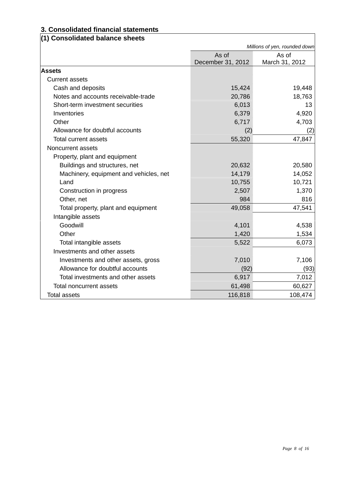## **3. Consolidated financial statements**

| (1) Consolidated balance sheets        |                   |                               |
|----------------------------------------|-------------------|-------------------------------|
|                                        |                   | Millions of yen, rounded down |
|                                        | As of             | As of                         |
|                                        | December 31, 2012 | March 31, 2012                |
| <b>Assets</b>                          |                   |                               |
| <b>Current assets</b>                  |                   |                               |
| Cash and deposits                      | 15,424            | 19,448                        |
| Notes and accounts receivable-trade    | 20,786            | 18,763                        |
| Short-term investment securities       | 6,013             | 13                            |
| Inventories                            | 6,379             | 4,920                         |
| Other                                  | 6,717             | 4,703                         |
| Allowance for doubtful accounts        | (2)               | (2)                           |
| <b>Total current assets</b>            | 55,320            | 47,847                        |
| Noncurrent assets                      |                   |                               |
| Property, plant and equipment          |                   |                               |
| Buildings and structures, net          | 20,632            | 20,580                        |
| Machinery, equipment and vehicles, net | 14,179            | 14,052                        |
| Land                                   | 10,755            | 10,721                        |
| Construction in progress               | 2,507             | 1,370                         |
| Other, net                             | 984               | 816                           |
| Total property, plant and equipment    | 49,058            | 47,541                        |
| Intangible assets                      |                   |                               |
| Goodwill                               | 4,101             | 4,538                         |
| Other                                  | 1,420             | 1,534                         |
| Total intangible assets                | 5,522             | 6,073                         |
| Investments and other assets           |                   |                               |
| Investments and other assets, gross    | 7,010             | 7,106                         |
| Allowance for doubtful accounts        | (92)              | (93)                          |
| Total investments and other assets     | 6,917             | 7,012                         |
| <b>Total noncurrent assets</b>         | 61,498            | 60,627                        |
| <b>Total assets</b>                    | 116,818           | 108,474                       |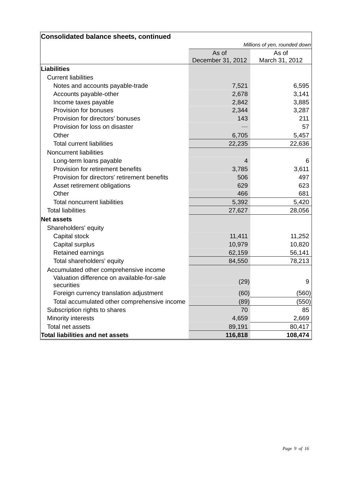| Consolidated balance sheets, continued       |                   |                               |
|----------------------------------------------|-------------------|-------------------------------|
|                                              |                   | Millions of yen, rounded down |
|                                              | As of             | As of                         |
|                                              | December 31, 2012 | March 31, 2012                |
| Liabilities                                  |                   |                               |
| <b>Current liabilities</b>                   |                   |                               |
| Notes and accounts payable-trade             | 7,521             | 6,595                         |
| Accounts payable-other                       | 2,678             | 3,141                         |
| Income taxes payable                         | 2,842             | 3,885                         |
| Provision for bonuses                        | 2,344             | 3,287                         |
| Provision for directors' bonuses             | 143               | 211                           |
| Provision for loss on disaster               |                   | 57                            |
| Other                                        | 6,705             | 5,457                         |
| <b>Total current liabilities</b>             | 22,235            | 22,636                        |
| <b>Noncurrent liabilities</b>                |                   |                               |
| Long-term loans payable                      | 4                 | 6                             |
| Provision for retirement benefits            | 3,785             | 3,611                         |
| Provision for directors' retirement benefits | 506               | 497                           |
| Asset retirement obligations                 | 629               | 623                           |
| Other                                        | 466               | 681                           |
| <b>Total noncurrent liabilities</b>          | 5,392             | 5,420                         |
| <b>Total liabilities</b>                     | 27,627            | 28,056                        |
| <b>Net assets</b>                            |                   |                               |
| Shareholders' equity                         |                   |                               |
| Capital stock                                | 11,411            | 11,252                        |
| Capital surplus                              | 10,979            | 10,820                        |
| Retained earnings                            | 62,159            | 56,141                        |
| Total shareholders' equity                   | 84,550            | 78,213                        |
| Accumulated other comprehensive income       |                   |                               |
| Valuation difference on available-for-sale   |                   |                               |
| securities                                   | (29)              | 9                             |
| Foreign currency translation adjustment      | (60)              | (560)                         |
| Total accumulated other comprehensive income | (89)              | (550)                         |
| Subscription rights to shares                | 70                | 85                            |
| Minority interests                           | 4,659             | 2,669                         |
| Total net assets                             | 89,191            | 80,417                        |
| Total liabilities and net assets             | 116,818           | 108,474                       |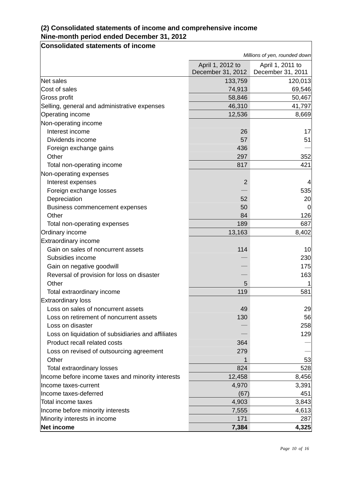### **(2) Consolidated statements of income and comprehensive income Nine-month period ended December 31, 2012**

**Consolidated statements of income** 

|                                                    | Millions of yen, rounded down |                   |  |
|----------------------------------------------------|-------------------------------|-------------------|--|
|                                                    | April 1, 2012 to              | April 1, 2011 to  |  |
|                                                    | December 31, 2012             | December 31, 2011 |  |
| Net sales                                          | 133,759                       | 120,013           |  |
| Cost of sales                                      | 74,913                        | 69,546            |  |
| Gross profit                                       | 58,846                        | 50,467            |  |
| Selling, general and administrative expenses       | 46,310                        | 41,797            |  |
| Operating income                                   | 12,536                        | 8,669             |  |
| Non-operating income                               |                               |                   |  |
| Interest income                                    | 26                            | 17                |  |
| Dividends income                                   | 57                            | 51                |  |
| Foreign exchange gains                             | 436                           |                   |  |
| Other                                              | 297                           | 352               |  |
| Total non-operating income                         | 817                           | 421               |  |
| Non-operating expenses                             |                               |                   |  |
| Interest expenses                                  | $\overline{2}$                | 4                 |  |
| Foreign exchange losses                            |                               | 535               |  |
| Depreciation                                       | 52                            | 20                |  |
| <b>Business commencement expenses</b>              | 50                            | $\Omega$          |  |
| Other                                              | 84                            | 126               |  |
| Total non-operating expenses                       | 189                           | 687               |  |
| Ordinary income                                    | 13,163                        | 8,402             |  |
| Extraordinary income                               |                               |                   |  |
| Gain on sales of noncurrent assets                 | 114                           | 10                |  |
| Subsidies income                                   |                               | 230               |  |
| Gain on negative goodwill                          |                               | 175               |  |
| Reversal of provision for loss on disaster         |                               | 163               |  |
| Other                                              | 5                             |                   |  |
| Total extraordinary income                         | 119                           | 581               |  |
| <b>Extraordinary loss</b>                          |                               |                   |  |
| Loss on sales of noncurrent assets                 | 49                            | 29                |  |
| Loss on retirement of noncurrent assets            | 130                           | 56                |  |
| Loss on disaster                                   |                               | 258               |  |
| Loss on liquidation of subsidiaries and affiliates |                               | 129               |  |
| Product recall related costs                       | 364                           |                   |  |
| Loss on revised of outsourcing agreement           | 279                           |                   |  |
| Other                                              |                               | 53                |  |
| Total extraordinary losses                         | 824                           | 528               |  |
| Income before income taxes and minority interests  | 12,458                        | 8,456             |  |
| Income taxes-current                               | 4,970                         | 3,391             |  |
| Income taxes-deferred                              | (67)                          | 451               |  |
| <b>Total income taxes</b>                          | 4,903                         | 3,843             |  |
| Income before minority interests                   | 7,555                         | 4,613             |  |
| Minority interests in income                       | 171                           | 287               |  |
| Net income                                         | 7,384                         | 4,325             |  |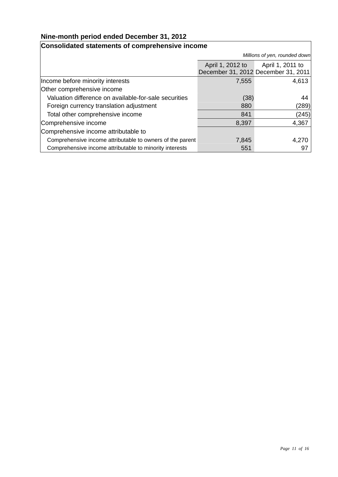#### **Nine-month period ended December 31, 2012**

#### **Consolidated statements of comprehensive income**  *Millions of yen, rounded down* April 1, 2012 to December 31, 2012 December 31, 2011 April 1, 2011 to Income before minority interests and the control of the control of the control of the 4,613 Other comprehensive income Valuation difference on available-for-sale securities (38) 44 Foreign currency translation adjustment 880 (289) Total other comprehensive income 841 (245) Comprehensive income **8,397** 4,367 Comprehensive income attributable to Comprehensive income attributable to owners of the parent 7,845 7,845 Comprehensive income attributable to minority interests 551 551 551 551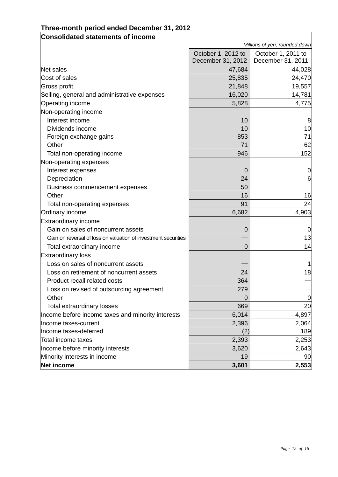### **Three-month period ended December 31, 2012**

| <b>Consolidated statements of income</b>                       |                                         |                                         |
|----------------------------------------------------------------|-----------------------------------------|-----------------------------------------|
|                                                                |                                         | Millions of yen, rounded down           |
|                                                                | October 1, 2012 to<br>December 31, 2012 | October 1, 2011 to<br>December 31, 2011 |
| Net sales                                                      | 47,684                                  | 44,028                                  |
| Cost of sales                                                  | 25,835                                  | 24,470                                  |
| Gross profit                                                   | 21,848                                  | 19,557                                  |
| Selling, general and administrative expenses                   | 16,020                                  | 14,781                                  |
| <b>Operating income</b>                                        | 5,828                                   | 4,775                                   |
| Non-operating income                                           |                                         |                                         |
| Interest income                                                | 10                                      | 8                                       |
| Dividends income                                               | 10                                      | 10                                      |
| Foreign exchange gains                                         | 853                                     | 71                                      |
| Other                                                          | 71                                      | 62                                      |
| Total non-operating income                                     | 946                                     | 152                                     |
| Non-operating expenses                                         |                                         |                                         |
| Interest expenses                                              | 0                                       | $\mathbf 0$                             |
| Depreciation                                                   | 24                                      | 6                                       |
| Business commencement expenses                                 | 50                                      |                                         |
| Other                                                          | 16                                      | 16                                      |
| Total non-operating expenses                                   | 91                                      | 24                                      |
| <b>Ordinary income</b>                                         | 6,682                                   | 4,903                                   |
| <b>Extraordinary income</b>                                    |                                         |                                         |
| Gain on sales of noncurrent assets                             | 0                                       | 0                                       |
| Gain on reversal of loss on valuation of investment securities |                                         | 13                                      |
| Total extraordinary income                                     | $\overline{0}$                          | 14                                      |
| <b>Extraordinary loss</b>                                      |                                         |                                         |
| Loss on sales of noncurrent assets                             |                                         | 1                                       |
| Loss on retirement of noncurrent assets                        | 24                                      | 18                                      |
| Product recall related costs                                   | 364                                     |                                         |
| Loss on revised of outsourcing agreement                       | 279                                     |                                         |
| Other                                                          | 0                                       | 0                                       |
| <b>Total extraordinary losses</b>                              | 669                                     | 20                                      |
| Income before income taxes and minority interests              | 6,014                                   | 4,897                                   |
| Income taxes-current                                           | 2,396                                   | 2,064                                   |
| Income taxes-deferred                                          | (2)                                     | 189                                     |
| Total income taxes                                             | 2,393                                   | 2,253                                   |
| Income before minority interests                               | 3,620                                   | 2,643                                   |
| Minority interests in income                                   | 19                                      | 90                                      |
| Net income                                                     | 3,601                                   | 2,553                                   |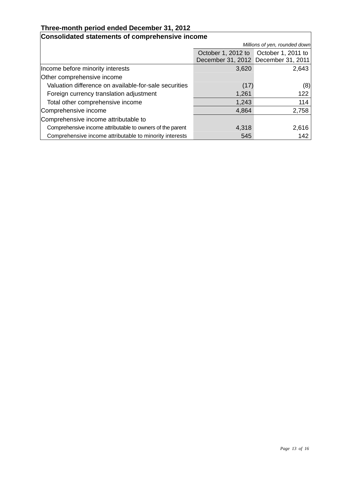#### **Three-month period ended December 31, 2012**

| Consolidated statements of comprehensive income           |                                     |                               |  |  |
|-----------------------------------------------------------|-------------------------------------|-------------------------------|--|--|
|                                                           |                                     | Millions of yen, rounded down |  |  |
|                                                           | October 1, 2012 to                  | October 1, 2011 to            |  |  |
|                                                           | December 31, 2012 December 31, 2011 |                               |  |  |
| Income before minority interests                          | 3,620                               | 2,643                         |  |  |
| Other comprehensive income                                |                                     |                               |  |  |
| Valuation difference on available-for-sale securities     | (17)                                | (8)                           |  |  |
| Foreign currency translation adjustment                   | 1,261                               | 122                           |  |  |
| Total other comprehensive income                          | 1,243                               | 114                           |  |  |
| Comprehensive income                                      | 4,864                               | 2,758                         |  |  |
| Comprehensive income attributable to                      |                                     |                               |  |  |
| Comprehensive income attributable to owners of the parent | 4,318                               | 2,616                         |  |  |
| Comprehensive income attributable to minority interests   | 545                                 | 142                           |  |  |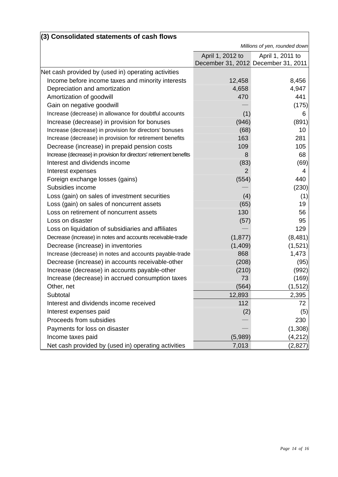| (3) Consolidated statements of cash flows                           |                               |                                     |
|---------------------------------------------------------------------|-------------------------------|-------------------------------------|
|                                                                     | Millions of yen, rounded down |                                     |
|                                                                     | April 1, 2012 to              | April 1, 2011 to                    |
|                                                                     |                               | December 31, 2012 December 31, 2011 |
| Net cash provided by (used in) operating activities                 |                               |                                     |
| Income before income taxes and minority interests                   | 12,458                        | 8,456                               |
| Depreciation and amortization                                       | 4,658                         | 4,947                               |
| Amortization of goodwill                                            | 470                           | 441                                 |
| Gain on negative goodwill                                           |                               | (175)                               |
| Increase (decrease) in allowance for doubtful accounts              | (1)                           | 6                                   |
| Increase (decrease) in provision for bonuses                        | (946)                         | (891)                               |
| Increase (decrease) in provision for directors' bonuses             | (68)                          | 10                                  |
| Increase (decrease) in provision for retirement benefits            | 163                           | 281                                 |
| Decrease (increase) in prepaid pension costs                        | 109                           | 105                                 |
| Increase (decrease) in provision for directors' retirement benefits | 8                             | 68                                  |
| Interest and dividends income                                       | (83)                          | (69)                                |
| Interest expenses                                                   | $\overline{2}$                | 4                                   |
| Foreign exchange losses (gains)                                     | (554)                         | 440                                 |
| Subsidies income                                                    |                               | (230)                               |
| Loss (gain) on sales of investment securities                       | (4)                           | (1)                                 |
| Loss (gain) on sales of noncurrent assets                           | (65)                          | 19                                  |
| Loss on retirement of noncurrent assets                             | 130                           | 56                                  |
| Loss on disaster                                                    | (57)                          | 95                                  |
| Loss on liquidation of subsidiaries and affiliates                  |                               | 129                                 |
| Decrease (increase) in notes and accounts receivable-trade          | (1, 877)                      | (8, 481)                            |
| Decrease (increase) in inventories                                  | (1,409)                       | (1,521)                             |
| Increase (decrease) in notes and accounts payable-trade             | 868                           | 1,473                               |
| Decrease (increase) in accounts receivable-other                    | (208)                         | (95)                                |
| Increase (decrease) in accounts payable-other                       | (210)                         | (992)                               |
| Increase (decrease) in accrued consumption taxes                    | 73                            | (169)                               |
| Other, net                                                          | (564)                         | (1, 512)                            |
| Subtotal                                                            | 12,893                        | 2,395                               |
| Interest and dividends income received                              | 112                           | 72                                  |
| Interest expenses paid                                              | (2)                           | (5)                                 |
| Proceeds from subsidies                                             |                               | 230                                 |
| Payments for loss on disaster                                       |                               | (1,308)                             |
| Income taxes paid                                                   | (5,989)                       | (4, 212)                            |
| Net cash provided by (used in) operating activities                 | 7,013                         | (2, 827)                            |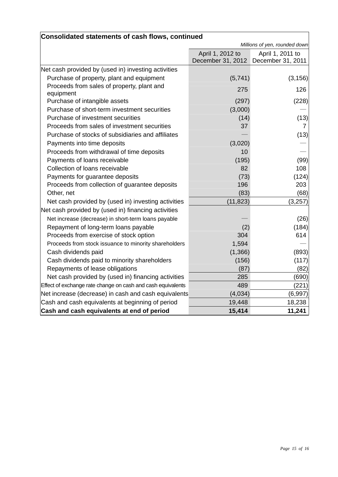| <b>Consolidated statements of cash flows, continued</b>     |                                       |                                       |
|-------------------------------------------------------------|---------------------------------------|---------------------------------------|
|                                                             | Millions of yen, rounded down         |                                       |
|                                                             | April 1, 2012 to<br>December 31, 2012 | April 1, 2011 to<br>December 31, 2011 |
| Net cash provided by (used in) investing activities         |                                       |                                       |
| Purchase of property, plant and equipment                   | (5,741)                               | (3, 156)                              |
| Proceeds from sales of property, plant and<br>equipment     | 275                                   | 126                                   |
| Purchase of intangible assets                               | (297)                                 | (228)                                 |
| Purchase of short-term investment securities                | (3,000)                               |                                       |
| Purchase of investment securities                           | (14)                                  | (13)                                  |
| Proceeds from sales of investment securities                | 37                                    | 7                                     |
| Purchase of stocks of subsidiaries and affiliates           |                                       | (13)                                  |
| Payments into time deposits                                 | (3,020)                               |                                       |
| Proceeds from withdrawal of time deposits                   | 10                                    |                                       |
| Payments of loans receivable                                | (195)                                 | (99)                                  |
| Collection of loans receivable                              | 82                                    | 108                                   |
| Payments for guarantee deposits                             | (73)                                  | (124)                                 |
| Proceeds from collection of guarantee deposits              | 196                                   | 203                                   |
| Other, net                                                  | (83)                                  | (68)                                  |
| Net cash provided by (used in) investing activities         | (11, 823)                             | (3,257)                               |
| Net cash provided by (used in) financing activities         |                                       |                                       |
| Net increase (decrease) in short-term loans payable         |                                       | (26)                                  |
| Repayment of long-term loans payable                        | (2)                                   | (184)                                 |
| Proceeds from exercise of stock option                      | 304                                   | 614                                   |
| Proceeds from stock issuance to minority shareholders       | 1,594                                 |                                       |
| Cash dividends paid                                         | (1,366)                               | (893)                                 |
| Cash dividends paid to minority shareholders                | (156)                                 | (117)                                 |
| Repayments of lease obligations                             | (87)                                  | (82)                                  |
| Net cash provided by (used in) financing activities         | 285                                   | (690)                                 |
| Effect of exchange rate change on cash and cash equivalents | 489                                   | (221)                                 |
| Net increase (decrease) in cash and cash equivalents        | (4,034)                               | (6,997)                               |
| Cash and cash equivalents at beginning of period            | 19,448                                | 18,238                                |
| Cash and cash equivalents at end of period                  | 15,414                                | 11,241                                |